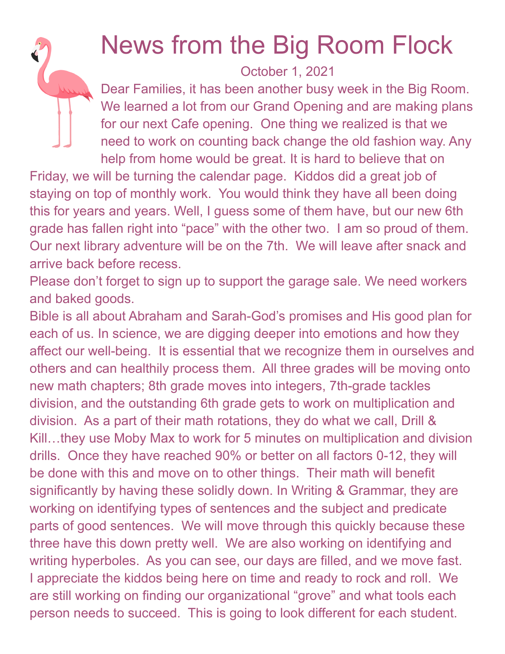## News from the Big Room Flock

October 1, 2021

Dear Families, it has been another busy week in the Big Room. We learned a lot from our Grand Opening and are making plans for our next Cafe opening. One thing we realized is that we need to work on counting back change the old fashion way. Any help from home would be great. It is hard to believe that on

Friday, we will be turning the calendar page. Kiddos did a great job of staying on top of monthly work. You would think they have all been doing this for years and years. Well, I guess some of them have, but our new 6th grade has fallen right into "pace" with the other two. I am so proud of them. Our next library adventure will be on the 7th. We will leave after snack and arrive back before recess.

Please don't forget to sign up to support the garage sale. We need workers and baked goods.

Bible is all about Abraham and Sarah-God's promises and His good plan for each of us. In science, we are digging deeper into emotions and how they affect our well-being. It is essential that we recognize them in ourselves and others and can healthily process them. All three grades will be moving onto new math chapters; 8th grade moves into integers, 7th-grade tackles division, and the outstanding 6th grade gets to work on multiplication and division. As a part of their math rotations, they do what we call, Drill & Kill…they use Moby Max to work for 5 minutes on multiplication and division drills. Once they have reached 90% or better on all factors 0-12, they will be done with this and move on to other things. Their math will benefit significantly by having these solidly down. In Writing & Grammar, they are working on identifying types of sentences and the subject and predicate parts of good sentences. We will move through this quickly because these three have this down pretty well. We are also working on identifying and writing hyperboles. As you can see, our days are filled, and we move fast. I appreciate the kiddos being here on time and ready to rock and roll. We are still working on finding our organizational "grove" and what tools each person needs to succeed. This is going to look different for each student.